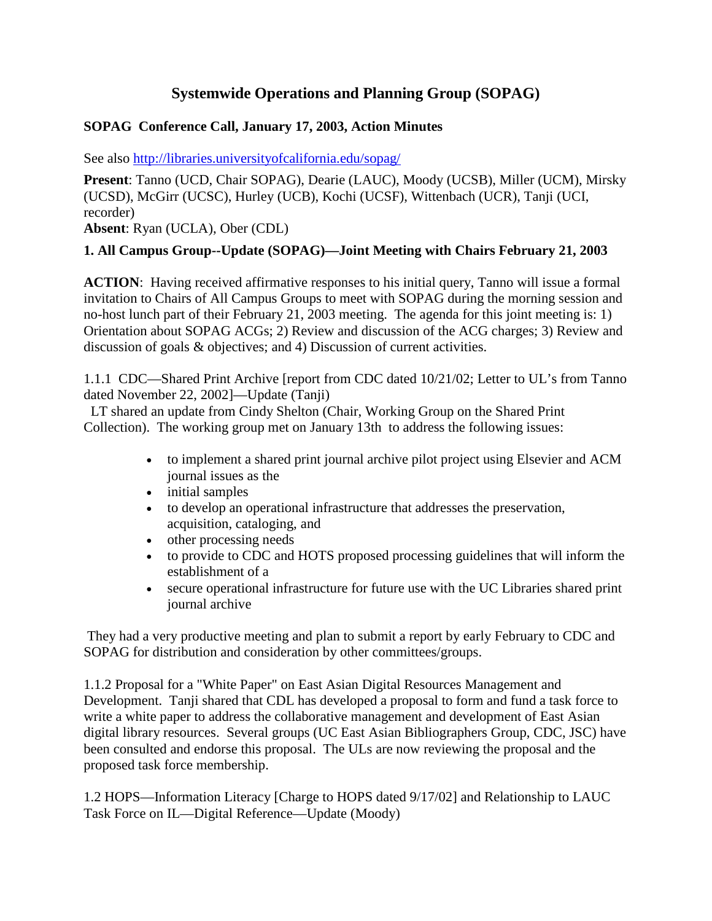# **Systemwide Operations and Planning Group (SOPAG)**

### **SOPAG Conference Call, January 17, 2003, Action Minutes**

See also http://libraries.universityofcalifornia.edu/sopag/

**Present**: Tanno (UCD, Chair SOPAG), Dearie (LAUC), Moody (UCSB), Miller (UCM), Mirsky (UCSD), McGirr (UCSC), Hurley (UCB), Kochi (UCSF), Wittenbach (UCR), Tanji (UCI, recorder)

**Absent**: Ryan (UCLA), Ober (CDL)

### **1. All Campus Group--Update (SOPAG)—Joint Meeting with Chairs February 21, 2003**

**ACTION**: Having received affirmative responses to his initial query, Tanno will issue a formal invitation to Chairs of All Campus Groups to meet with SOPAG during the morning session and no-host lunch part of their February 21, 2003 meeting. The agenda for this joint meeting is: 1) Orientation about SOPAG ACGs; 2) Review and discussion of the ACG charges; 3) Review and discussion of goals & objectives; and 4) Discussion of current activities.

1.1.1 CDC—Shared Print Archive [report from CDC dated 10/21/02; Letter to UL's from Tanno dated November 22, 2002]—Update (Tanji)

LT shared an update from Cindy Shelton (Chair, Working Group on the Shared Print Collection). The working group met on January 13th to address the following issues:

- to implement a shared print journal archive pilot project using Elsevier and ACM journal issues as the
- initial samples
- to develop an operational infrastructure that addresses the preservation, acquisition, cataloging, and
- other processing needs
- to provide to CDC and HOTS proposed processing guidelines that will inform the establishment of a
- secure operational infrastructure for future use with the UC Libraries shared print journal archive

They had a very productive meeting and plan to submit a report by early February to CDC and SOPAG for distribution and consideration by other committees/groups.

1.1.2 Proposal for a "White Paper" on East Asian Digital Resources Management and Development. Tanji shared that CDL has developed a proposal to form and fund a task force to write a white paper to address the collaborative management and development of East Asian digital library resources. Several groups (UC East Asian Bibliographers Group, CDC, JSC) have been consulted and endorse this proposal. The ULs are now reviewing the proposal and the proposed task force membership.

1.2 HOPS—Information Literacy [Charge to HOPS dated 9/17/02] and Relationship to LAUC Task Force on IL—Digital Reference—Update (Moody)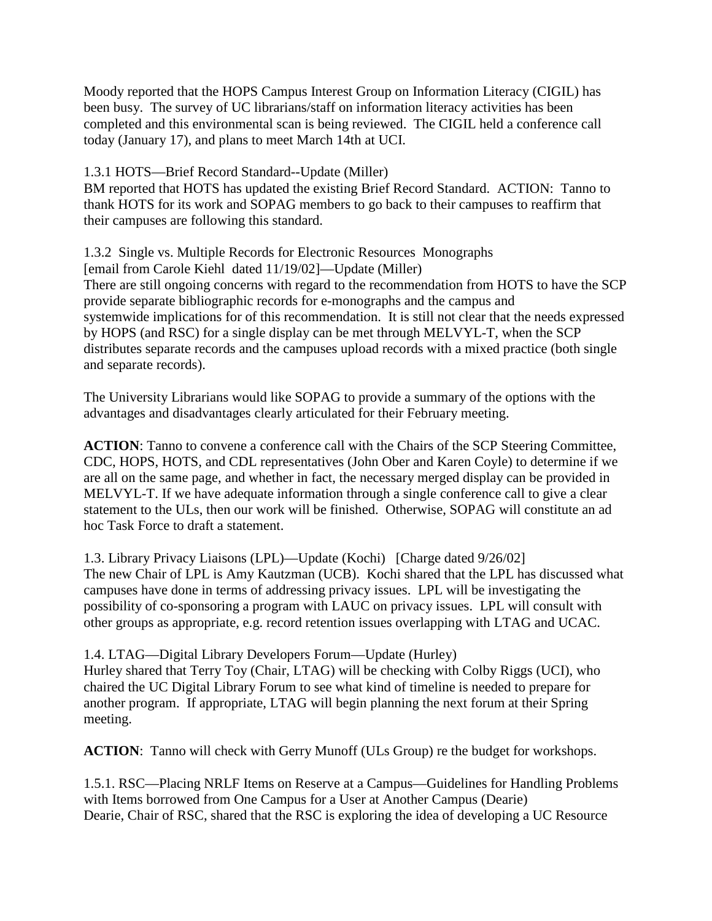Moody reported that the HOPS Campus Interest Group on Information Literacy (CIGIL) has been busy. The survey of UC librarians/staff on information literacy activities has been completed and this environmental scan is being reviewed. The CIGIL held a conference call today (January 17), and plans to meet March 14th at UCI.

#### 1.3.1 HOTS—Brief Record Standard--Update (Miller)

BM reported that HOTS has updated the existing Brief Record Standard. ACTION: Tanno to thank HOTS for its work and SOPAG members to go back to their campuses to reaffirm that their campuses are following this standard.

## 1.3.2 Single vs. Multiple Records for Electronic Resources Monographs

[email from Carole Kiehl dated 11/19/02]—Update (Miller)

There are still ongoing concerns with regard to the recommendation from HOTS to have the SCP provide separate bibliographic records for e-monographs and the campus and systemwide implications for of this recommendation. It is still not clear that the needs expressed by HOPS (and RSC) for a single display can be met through MELVYL-T, when the SCP distributes separate records and the campuses upload records with a mixed practice (both single and separate records).

The University Librarians would like SOPAG to provide a summary of the options with the advantages and disadvantages clearly articulated for their February meeting.

**ACTION**: Tanno to convene a conference call with the Chairs of the SCP Steering Committee, CDC, HOPS, HOTS, and CDL representatives (John Ober and Karen Coyle) to determine if we are all on the same page, and whether in fact, the necessary merged display can be provided in MELVYL-T. If we have adequate information through a single conference call to give a clear statement to the ULs, then our work will be finished. Otherwise, SOPAG will constitute an ad hoc Task Force to draft a statement.

1.3. Library Privacy Liaisons (LPL)—Update (Kochi) [Charge dated 9/26/02] The new Chair of LPL is Amy Kautzman (UCB). Kochi shared that the LPL has discussed what campuses have done in terms of addressing privacy issues. LPL will be investigating the possibility of co-sponsoring a program with LAUC on privacy issues. LPL will consult with other groups as appropriate, e.g. record retention issues overlapping with LTAG and UCAC.

## 1.4. LTAG—Digital Library Developers Forum—Update (Hurley)

Hurley shared that Terry Toy (Chair, LTAG) will be checking with Colby Riggs (UCI), who chaired the UC Digital Library Forum to see what kind of timeline is needed to prepare for another program. If appropriate, LTAG will begin planning the next forum at their Spring meeting.

**ACTION**: Tanno will check with Gerry Munoff (ULs Group) re the budget for workshops.

1.5.1. RSC—Placing NRLF Items on Reserve at a Campus—Guidelines for Handling Problems with Items borrowed from One Campus for a User at Another Campus (Dearie) Dearie, Chair of RSC, shared that the RSC is exploring the idea of developing a UC Resource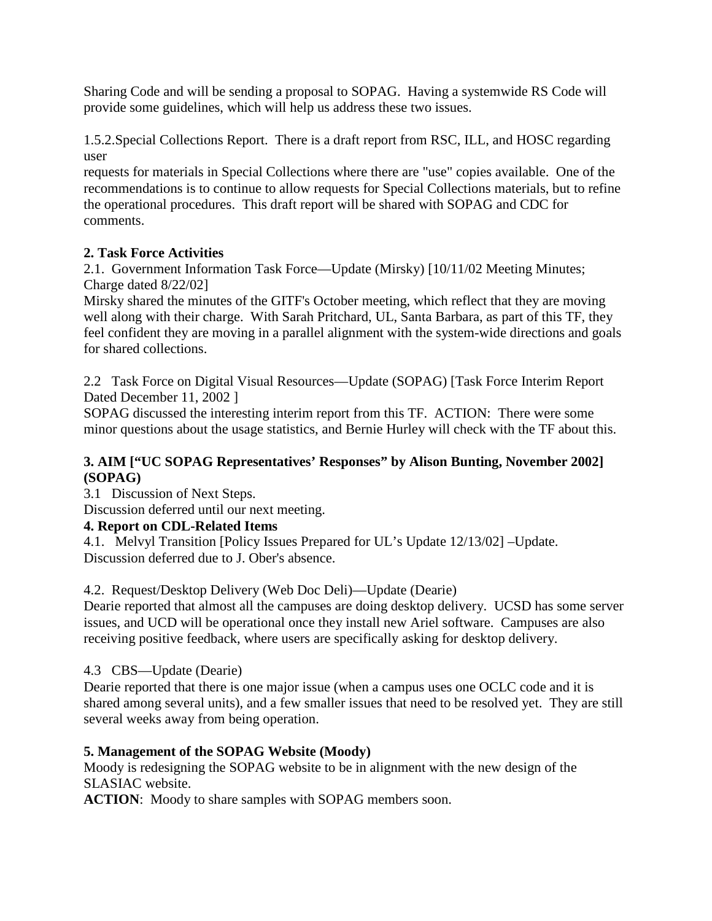Sharing Code and will be sending a proposal to SOPAG. Having a systemwide RS Code will provide some guidelines, which will help us address these two issues.

1.5.2.Special Collections Report. There is a draft report from RSC, ILL, and HOSC regarding user

requests for materials in Special Collections where there are "use" copies available. One of the recommendations is to continue to allow requests for Special Collections materials, but to refine the operational procedures. This draft report will be shared with SOPAG and CDC for comments.

## **2. Task Force Activities**

2.1. Government Information Task Force—Update (Mirsky) [10/11/02 Meeting Minutes; Charge dated 8/22/02]

Mirsky shared the minutes of the GITF's October meeting, which reflect that they are moving well along with their charge. With Sarah Pritchard, UL, Santa Barbara, as part of this TF, they feel confident they are moving in a parallel alignment with the system-wide directions and goals for shared collections.

2.2 Task Force on Digital Visual Resources—Update (SOPAG) [Task Force Interim Report Dated December 11, 2002 ]

SOPAG discussed the interesting interim report from this TF. ACTION: There were some minor questions about the usage statistics, and Bernie Hurley will check with the TF about this.

#### **3. AIM ["UC SOPAG Representatives' Responses" by Alison Bunting, November 2002] (SOPAG)**

3.1 Discussion of Next Steps.

Discussion deferred until our next meeting.

## **4. Report on CDL-Related Items**

4.1. Melvyl Transition [Policy Issues Prepared for UL's Update 12/13/02] –Update. Discussion deferred due to J. Ober's absence.

## 4.2. Request/Desktop Delivery (Web Doc Deli)—Update (Dearie)

Dearie reported that almost all the campuses are doing desktop delivery. UCSD has some server issues, and UCD will be operational once they install new Ariel software. Campuses are also receiving positive feedback, where users are specifically asking for desktop delivery.

## 4.3 CBS—Update (Dearie)

Dearie reported that there is one major issue (when a campus uses one OCLC code and it is shared among several units), and a few smaller issues that need to be resolved yet. They are still several weeks away from being operation.

## **5. Management of the SOPAG Website (Moody)**

Moody is redesigning the SOPAG website to be in alignment with the new design of the SLASIAC website.

**ACTION**: Moody to share samples with SOPAG members soon.